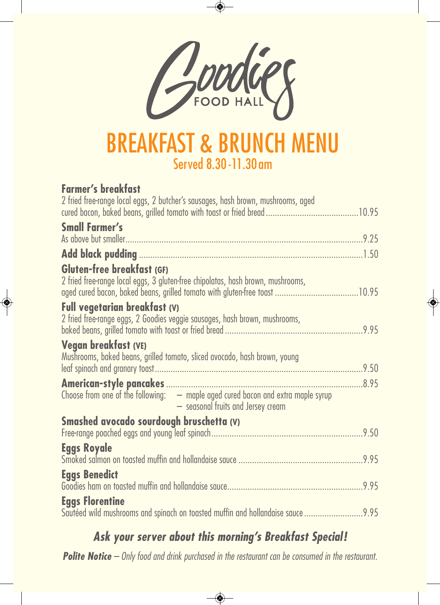

#### **BREAKFAST & BRUNCH M** Served 8.30-11.30am

#### **Farmer's breakfast**

| 2 fried free-range local eggs, 2 butcher's sausages, hash brown, mushrooms, aged                                         |  |
|--------------------------------------------------------------------------------------------------------------------------|--|
| <b>Small Farmer's</b>                                                                                                    |  |
|                                                                                                                          |  |
| Gluten-free breakfast (GF)<br>2 fried free-range local eggs, 3 gluten-free chipolatas, hash brown, mushrooms,            |  |
| <b>Full vegetarian breakfast (V)</b><br>2 fried free-range eggs, 2 Goodies veggie sausages, hash brown, mushrooms,       |  |
| Vegan breakfast (VE)<br>Mushrooms, baked beans, grilled tomato, sliced avocado, hash brown, young                        |  |
| Choose from one of the following: $-$ maple aged cured bacon and extra maple syrup<br>- seasonal fruits and Jersey cream |  |
| Smashed avocado sourdough bruschetta (V)                                                                                 |  |
| <b>Eggs Royale</b>                                                                                                       |  |
| <b>Eggs Benedict</b>                                                                                                     |  |
| <b>Eggs Florentine</b>                                                                                                   |  |

*Ask your server about this morning's Breakfast Special! Polite Notice* – Only food and drink purchased in the restaurant can be consumed in the restaurant.